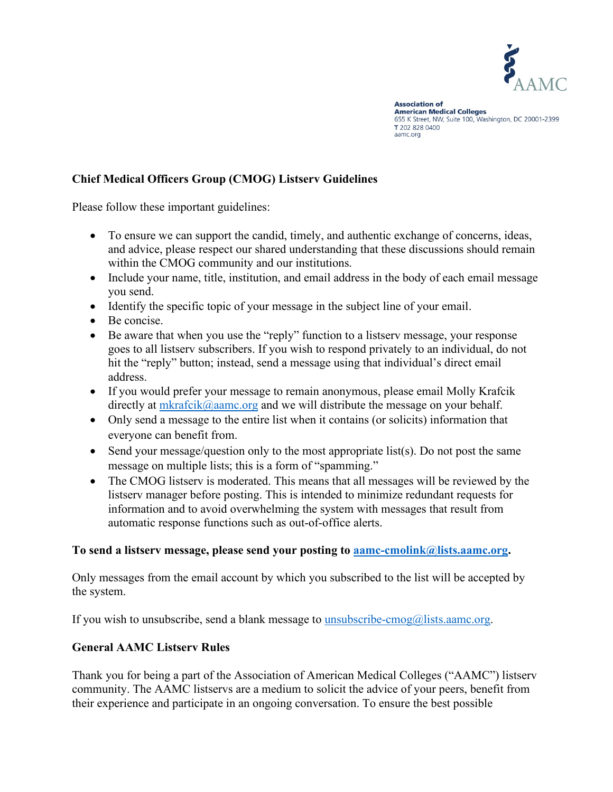

**Association of American Medical Colleges** 655 K Street, NW, Suite 100, Washington, DC 20001-2399 T 202 828 0400 aamc.org

### **Chief Medical Officers Group (CMOG) Listserv Guidelines**

Please follow these important guidelines:

- To ensure we can support the candid, timely, and authentic exchange of concerns, ideas, and advice, please respect our shared understanding that these discussions should remain within the CMOG community and our institutions.
- Include your name, title, institution, and email address in the body of each email message you send.
- Identify the specific topic of your message in the subject line of your email.
- Be concise.
- Be aware that when you use the "reply" function to a listserv message, your response goes to all listserv subscribers. If you wish to respond privately to an individual, do not hit the "reply" button; instead, send a message using that individual's direct email address.
- If you would prefer your message to remain anonymous, please email Molly Krafcik directly at [mkrafcik@aamc.org](mailto:mkrafcik@aamc.org) and we will distribute the message on your behalf.
- Only send a message to the entire list when it contains (or solicits) information that everyone can benefit from.
- Send your message/question only to the most appropriate list(s). Do not post the same message on multiple lists; this is a form of "spamming."
- The CMOG listserv is moderated. This means that all messages will be reviewed by the listserv manager before posting. This is intended to minimize redundant requests for information and to avoid overwhelming the system with messages that result from automatic response functions such as out-of-office alerts.

### **To send a listserv message, please send your posting to [aamc-cmolink@lists.aamc.org.](mailto:aamc-cmolink@lists.aamc.org)**

Only messages from the email account by which you subscribed to the list will be accepted by the system.

If you wish to unsubscribe, send a blank message to [unsubscribe-cmog@lists.aamc.org.](mailto:unsubscribe-cmog@lists.aamc.org)

### **General AAMC Listserv Rules**

Thank you for being a part of the Association of American Medical Colleges ("AAMC") listserv community. The AAMC listservs are a medium to solicit the advice of your peers, benefit from their experience and participate in an ongoing conversation. To ensure the best possible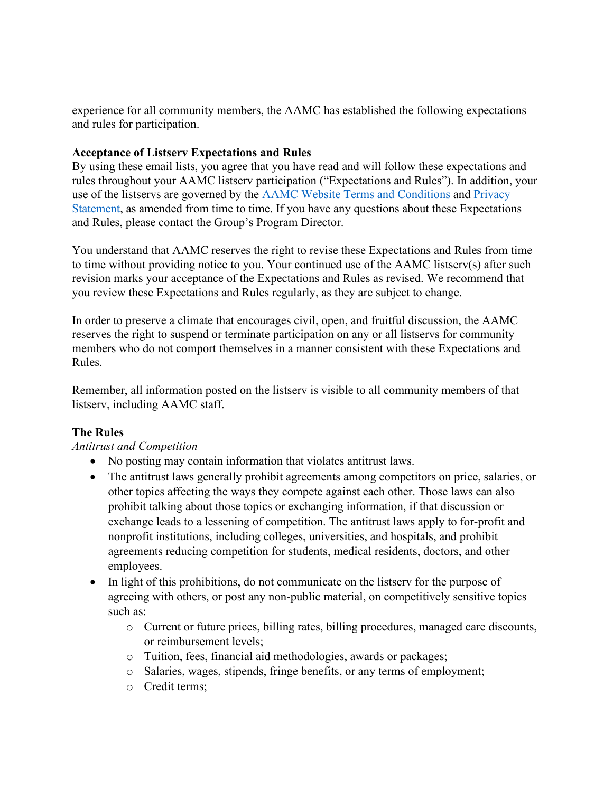experience for all community members, the AAMC has established the following expectations and rules for participation.

#### **Acceptance of Listserv Expectations and Rules**

By using these email lists, you agree that you have read and will follow these expectations and rules throughout your AAMC listserv participation ("Expectations and Rules"). In addition, your use of the listservs are governed by the [AAMC Website Terms and Conditions](https://www.aamc.org/website-terms-conditions) and [Privacy](https://www.aamc.org/privacy)  [Statement,](https://www.aamc.org/privacy) as amended from time to time. If you have any questions about these Expectations and Rules, please contact the Group's Program Director.

You understand that AAMC reserves the right to revise these Expectations and Rules from time to time without providing notice to you. Your continued use of the AAMC listserv(s) after such revision marks your acceptance of the Expectations and Rules as revised. We recommend that you review these Expectations and Rules regularly, as they are subject to change.

In order to preserve a climate that encourages civil, open, and fruitful discussion, the AAMC reserves the right to suspend or terminate participation on any or all listservs for community members who do not comport themselves in a manner consistent with these Expectations and Rules.

Remember, all information posted on the listserv is visible to all community members of that listserv, including AAMC staff.

### **The Rules**

### *Antitrust and Competition*

- No posting may contain information that violates antitrust laws.
- The antitrust laws generally prohibit agreements among competitors on price, salaries, or other topics affecting the ways they compete against each other. Those laws can also prohibit talking about those topics or exchanging information, if that discussion or exchange leads to a lessening of competition. The antitrust laws apply to for-profit and nonprofit institutions, including colleges, universities, and hospitals, and prohibit agreements reducing competition for students, medical residents, doctors, and other employees.
- In light of this prohibitions, do not communicate on the listserv for the purpose of agreeing with others, or post any non-public material, on competitively sensitive topics such as:
	- o Current or future prices, billing rates, billing procedures, managed care discounts, or reimbursement levels;
	- o Tuition, fees, financial aid methodologies, awards or packages;
	- o Salaries, wages, stipends, fringe benefits, or any terms of employment;
	- o Credit terms;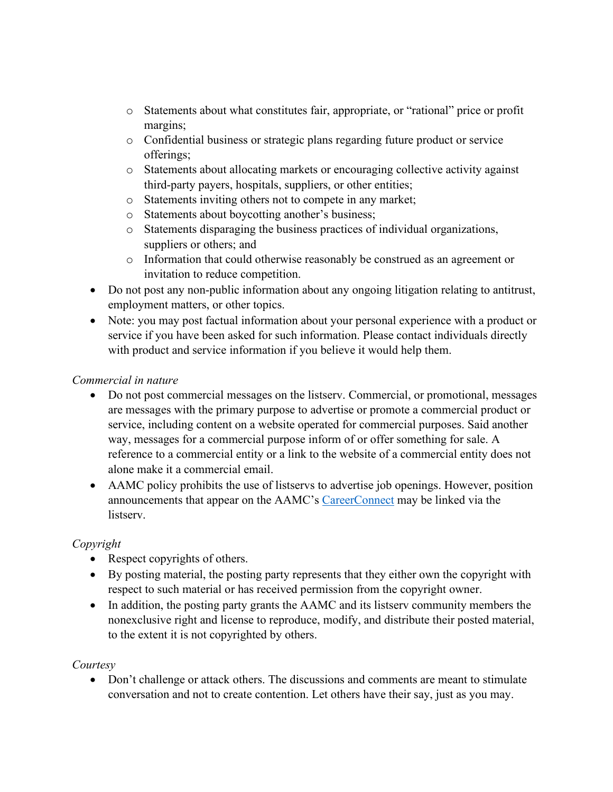- o Statements about what constitutes fair, appropriate, or "rational" price or profit margins;
- o Confidential business or strategic plans regarding future product or service offerings;
- o Statements about allocating markets or encouraging collective activity against third-party payers, hospitals, suppliers, or other entities;
- o Statements inviting others not to compete in any market;
- o Statements about boycotting another's business;
- o Statements disparaging the business practices of individual organizations, suppliers or others; and
- o Information that could otherwise reasonably be construed as an agreement or invitation to reduce competition.
- Do not post any non-public information about any ongoing litigation relating to antitrust, employment matters, or other topics.
- Note: you may post factual information about your personal experience with a product or service if you have been asked for such information. Please contact individuals directly with product and service information if you believe it would help them.

# *Commercial in nature*

- Do not post commercial messages on the listserv. Commercial, or promotional, messages are messages with the primary purpose to advertise or promote a commercial product or service, including content on a website operated for commercial purposes. Said another way, messages for a commercial purpose inform of or offer something for sale. A reference to a commercial entity or a link to the website of a commercial entity does not alone make it a commercial email.
- AAMC policy prohibits the use of listservs to advertise job openings. However, position announcements that appear on the AAMC's [CareerConnect](https://careerconnect.aamc.org/) may be linked via the listserv.

### *Copyright*

- Respect copyrights of others.
- By posting material, the posting party represents that they either own the copyright with respect to such material or has received permission from the copyright owner.
- In addition, the posting party grants the AAMC and its listserv community members the nonexclusive right and license to reproduce, modify, and distribute their posted material, to the extent it is not copyrighted by others.

### *Courtesy*

• Don't challenge or attack others. The discussions and comments are meant to stimulate conversation and not to create contention. Let others have their say, just as you may.